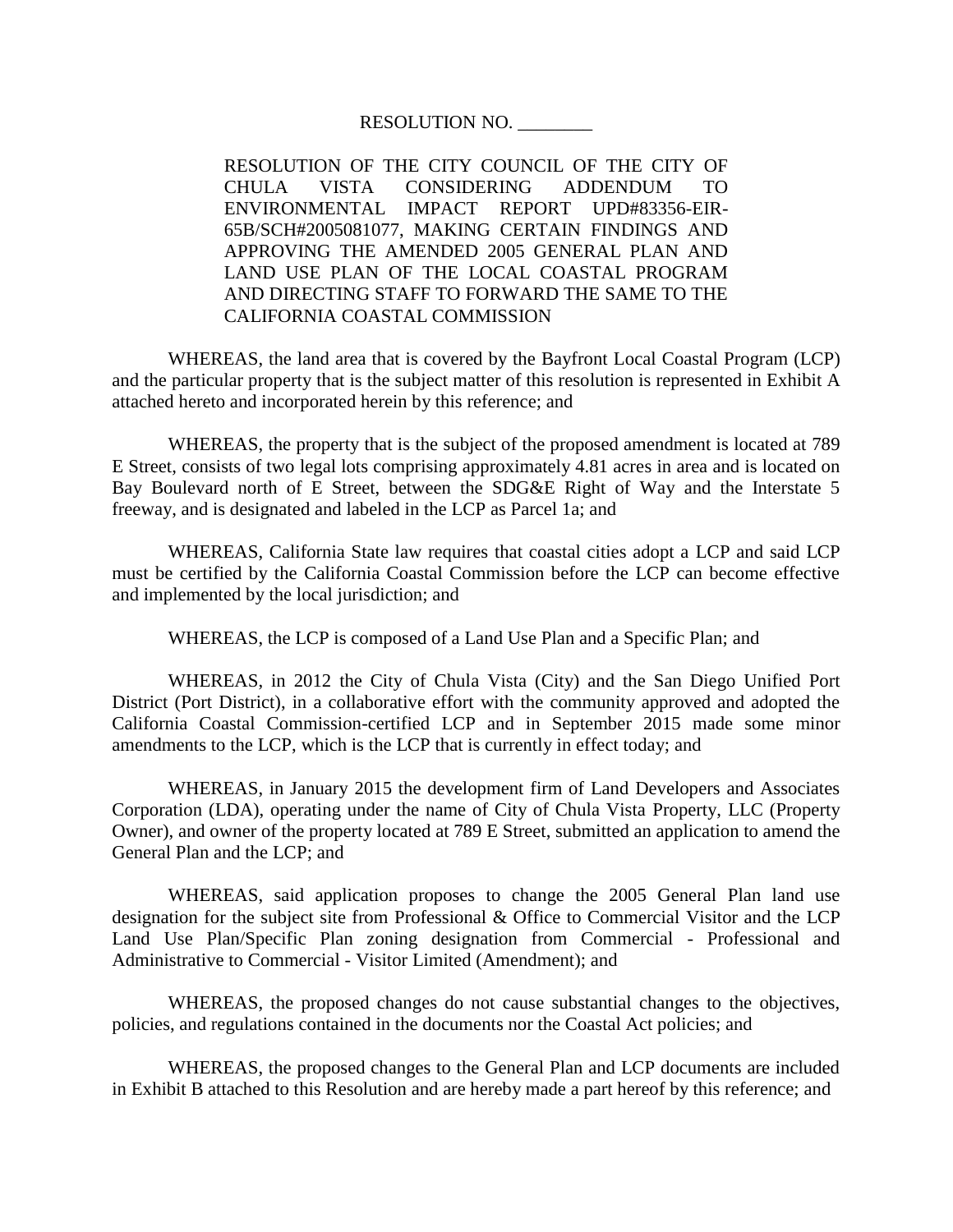## RESOLUTION NO. \_\_\_\_\_\_\_\_

RESOLUTION OF THE CITY COUNCIL OF THE CITY OF CHULA VISTA CONSIDERING ADDENDUM TO ENVIRONMENTAL IMPACT REPORT UPD#83356-EIR-65B/SCH#2005081077, MAKING CERTAIN FINDINGS AND APPROVING THE AMENDED 2005 GENERAL PLAN AND LAND USE PLAN OF THE LOCAL COASTAL PROGRAM AND DIRECTING STAFF TO FORWARD THE SAME TO THE CALIFORNIA COASTAL COMMISSION

WHEREAS, the land area that is covered by the Bayfront Local Coastal Program (LCP) and the particular property that is the subject matter of this resolution is represented in Exhibit A attached hereto and incorporated herein by this reference; and

WHEREAS, the property that is the subject of the proposed amendment is located at 789 E Street, consists of two legal lots comprising approximately 4.81 acres in area and is located on Bay Boulevard north of E Street, between the SDG&E Right of Way and the Interstate 5 freeway, and is designated and labeled in the LCP as Parcel 1a; and

WHEREAS, California State law requires that coastal cities adopt a LCP and said LCP must be certified by the California Coastal Commission before the LCP can become effective and implemented by the local jurisdiction; and

WHEREAS, the LCP is composed of a Land Use Plan and a Specific Plan; and

WHEREAS, in 2012 the City of Chula Vista (City) and the San Diego Unified Port District (Port District), in a collaborative effort with the community approved and adopted the California Coastal Commission-certified LCP and in September 2015 made some minor amendments to the LCP, which is the LCP that is currently in effect today; and

WHEREAS, in January 2015 the development firm of Land Developers and Associates Corporation (LDA), operating under the name of City of Chula Vista Property, LLC (Property Owner), and owner of the property located at 789 E Street, submitted an application to amend the General Plan and the LCP; and

WHEREAS, said application proposes to change the 2005 General Plan land use designation for the subject site from Professional & Office to Commercial Visitor and the LCP Land Use Plan/Specific Plan zoning designation from Commercial - Professional and Administrative to Commercial - Visitor Limited (Amendment); and

WHEREAS, the proposed changes do not cause substantial changes to the objectives, policies, and regulations contained in the documents nor the Coastal Act policies; and

WHEREAS, the proposed changes to the General Plan and LCP documents are included in Exhibit B attached to this Resolution and are hereby made a part hereof by this reference; and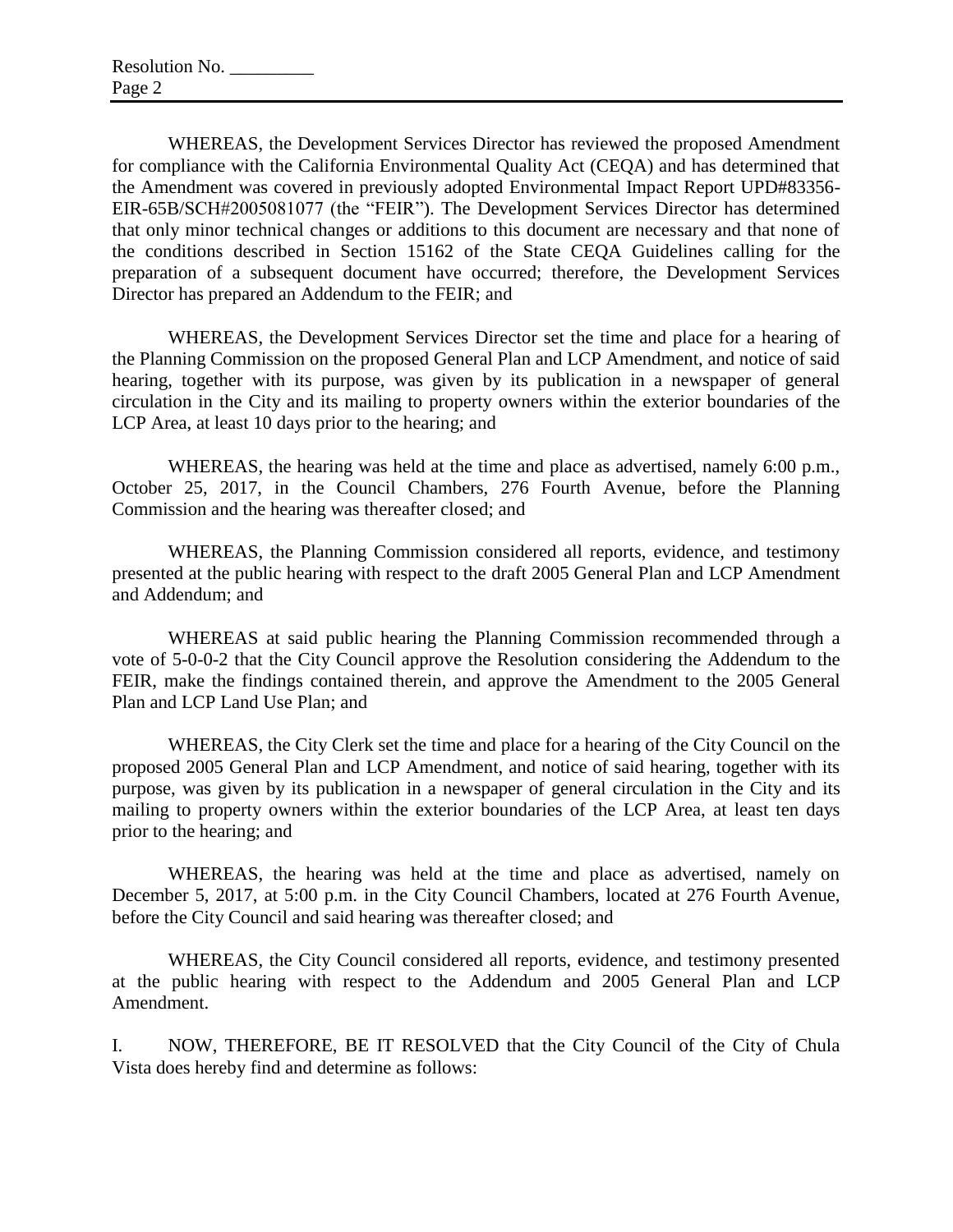WHEREAS, the Development Services Director has reviewed the proposed Amendment for compliance with the California Environmental Quality Act (CEQA) and has determined that the Amendment was covered in previously adopted Environmental Impact Report UPD#83356- EIR-65B/SCH#2005081077 (the "FEIR"). The Development Services Director has determined that only minor technical changes or additions to this document are necessary and that none of the conditions described in Section 15162 of the State CEQA Guidelines calling for the preparation of a subsequent document have occurred; therefore, the Development Services Director has prepared an Addendum to the FEIR; and

WHEREAS, the Development Services Director set the time and place for a hearing of the Planning Commission on the proposed General Plan and LCP Amendment, and notice of said hearing, together with its purpose, was given by its publication in a newspaper of general circulation in the City and its mailing to property owners within the exterior boundaries of the LCP Area, at least 10 days prior to the hearing; and

WHEREAS, the hearing was held at the time and place as advertised, namely 6:00 p.m., October 25, 2017, in the Council Chambers, 276 Fourth Avenue, before the Planning Commission and the hearing was thereafter closed; and

WHEREAS, the Planning Commission considered all reports, evidence, and testimony presented at the public hearing with respect to the draft 2005 General Plan and LCP Amendment and Addendum; and

WHEREAS at said public hearing the Planning Commission recommended through a vote of 5-0-0-2 that the City Council approve the Resolution considering the Addendum to the FEIR, make the findings contained therein, and approve the Amendment to the 2005 General Plan and LCP Land Use Plan; and

WHEREAS, the City Clerk set the time and place for a hearing of the City Council on the proposed 2005 General Plan and LCP Amendment, and notice of said hearing, together with its purpose, was given by its publication in a newspaper of general circulation in the City and its mailing to property owners within the exterior boundaries of the LCP Area, at least ten days prior to the hearing; and

WHEREAS, the hearing was held at the time and place as advertised, namely on December 5, 2017, at 5:00 p.m. in the City Council Chambers, located at 276 Fourth Avenue, before the City Council and said hearing was thereafter closed; and

WHEREAS, the City Council considered all reports, evidence, and testimony presented at the public hearing with respect to the Addendum and 2005 General Plan and LCP Amendment.

I. NOW, THEREFORE, BE IT RESOLVED that the City Council of the City of Chula Vista does hereby find and determine as follows: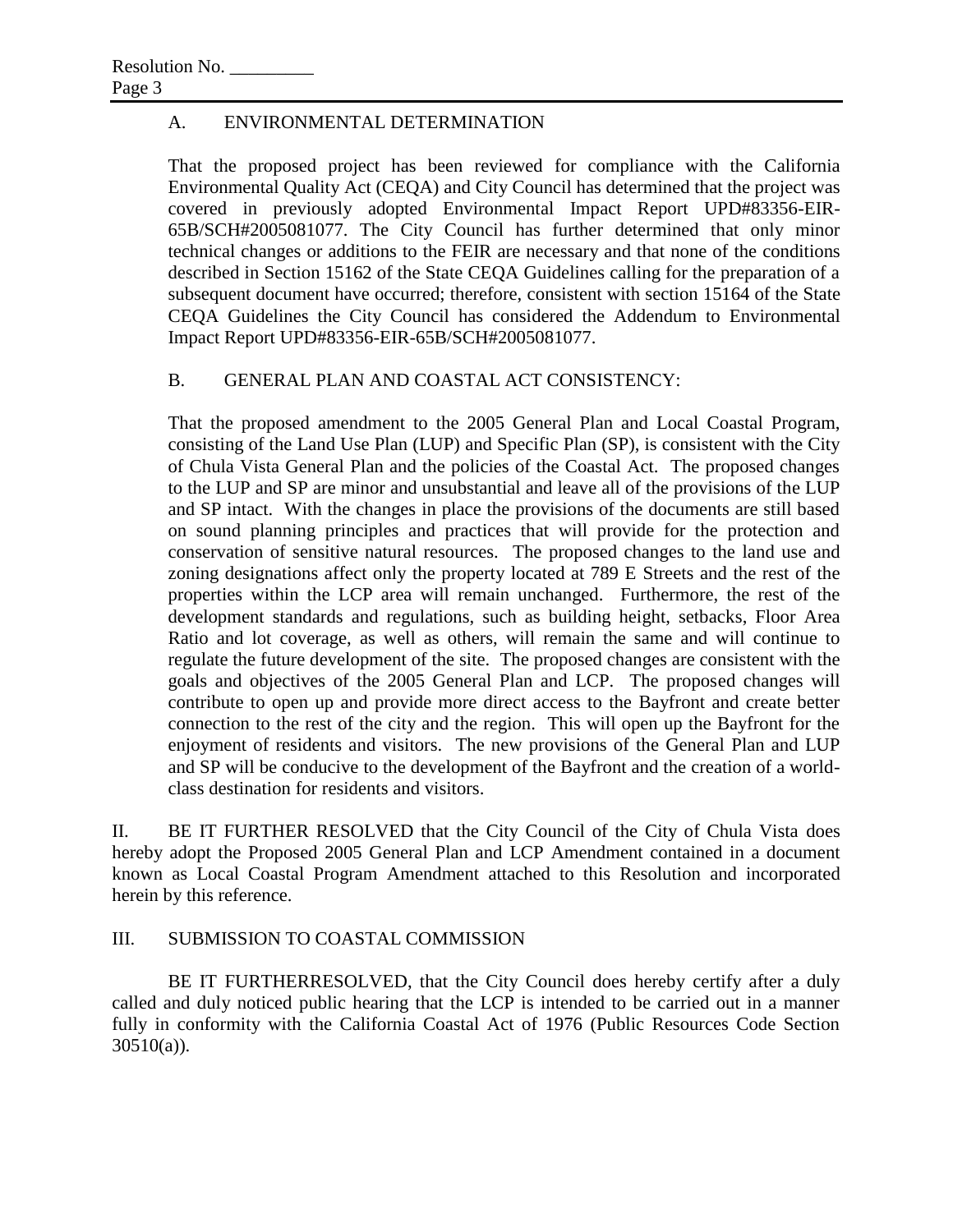## A. ENVIRONMENTAL DETERMINATION

That the proposed project has been reviewed for compliance with the California Environmental Quality Act (CEQA) and City Council has determined that the project was covered in previously adopted Environmental Impact Report UPD#83356-EIR-65B/SCH#2005081077. The City Council has further determined that only minor technical changes or additions to the FEIR are necessary and that none of the conditions described in Section 15162 of the State CEQA Guidelines calling for the preparation of a subsequent document have occurred; therefore, consistent with section 15164 of the State CEQA Guidelines the City Council has considered the Addendum to Environmental Impact Report UPD#83356-EIR-65B/SCH#2005081077.

## B. GENERAL PLAN AND COASTAL ACT CONSISTENCY:

That the proposed amendment to the 2005 General Plan and Local Coastal Program, consisting of the Land Use Plan (LUP) and Specific Plan (SP), is consistent with the City of Chula Vista General Plan and the policies of the Coastal Act. The proposed changes to the LUP and SP are minor and unsubstantial and leave all of the provisions of the LUP and SP intact. With the changes in place the provisions of the documents are still based on sound planning principles and practices that will provide for the protection and conservation of sensitive natural resources. The proposed changes to the land use and zoning designations affect only the property located at 789 E Streets and the rest of the properties within the LCP area will remain unchanged. Furthermore, the rest of the development standards and regulations, such as building height, setbacks, Floor Area Ratio and lot coverage, as well as others, will remain the same and will continue to regulate the future development of the site. The proposed changes are consistent with the goals and objectives of the 2005 General Plan and LCP. The proposed changes will contribute to open up and provide more direct access to the Bayfront and create better connection to the rest of the city and the region. This will open up the Bayfront for the enjoyment of residents and visitors. The new provisions of the General Plan and LUP and SP will be conducive to the development of the Bayfront and the creation of a worldclass destination for residents and visitors.

II. BE IT FURTHER RESOLVED that the City Council of the City of Chula Vista does hereby adopt the Proposed 2005 General Plan and LCP Amendment contained in a document known as Local Coastal Program Amendment attached to this Resolution and incorporated herein by this reference.

## III. SUBMISSION TO COASTAL COMMISSION

BE IT FURTHERRESOLVED, that the City Council does hereby certify after a duly called and duly noticed public hearing that the LCP is intended to be carried out in a manner fully in conformity with the California Coastal Act of 1976 (Public Resources Code Section 30510(a)).